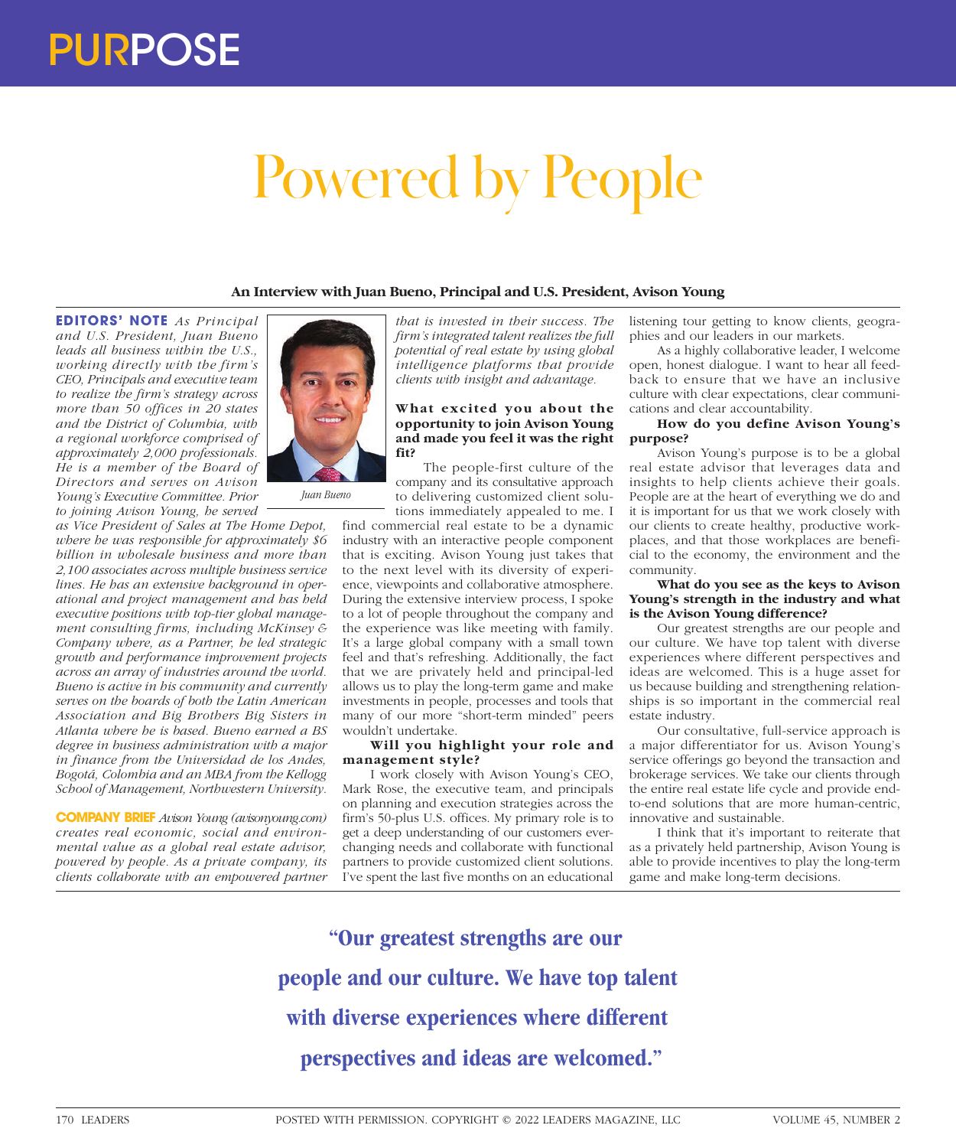# Powered by People

# **An Interview with Juan Bueno, Principal and U.S. President, Avison Young**

**EDITORS' NOTE** *As Principal and U.S. President, Juan Bueno leads all business within the U.S., working directly with the firm's CEO, Principals and executive team to realize the firm's strategy across more than 50 offices in 20 states and the District of Columbia, with a regional workforce comprised of approximately 2,000 professionals. He is a member of the Board of Directors and serves on Avison Young's Executive Committee. Prior to joining Avison Young, he served* 

*as Vice President of Sales at The Home Depot, where he was responsible for approximately \$6 billion in wholesale business and more than 2,100 associates across multiple business service lines. He has an extensive background in operational and project management and has held executive positions with top-tier global management consulting firms, including McKinsey & Company where, as a Partner, he led strategic growth and performance improvement projects across an array of industries around the world. Bueno is active in his community and currently serves on the boards of both the Latin American Association and Big Brothers Big Sisters in Atlanta where he is based. Bueno earned a BS degree in business administration with a major in finance from the Universidad de los Andes, Bogotá, Colombia and an MBA from the Kellogg School of Management, Northwestern University.*

*Juan Bueno*

**COMPANY BRIEF** *Avison Young (avisonyoung.com) creates real economic, social and environmental value as a global real estate advisor, powered by people. As a private company, its clients collaborate with an empowered partner* 

*that is invested in their success. The firm's integrated talent realizes the full potential of real estate by using global intelligence platforms that provide clients with insight and advantage.*

### **What excited you about the opportunity to join Avison Young and made you feel it was the right fit?**

The people-first culture of the company and its consultative approach to delivering customized client solutions immediately appealed to me. I

find commercial real estate to be a dynamic industry with an interactive people component that is exciting. Avison Young just takes that to the next level with its diversity of experience, viewpoints and collaborative atmosphere. During the extensive interview process, I spoke to a lot of people throughout the company and the experience was like meeting with family. It's a large global company with a small town feel and that's refreshing. Additionally, the fact that we are privately held and principal-led allows us to play the long-term game and make investments in people, processes and tools that many of our more "short-term minded" peers wouldn't undertake.

### **Will you highlight your role and management style?**

I work closely with Avison Young's CEO, Mark Rose, the executive team, and principals on planning and execution strategies across the firm's 50-plus U.S. offices. My primary role is to get a deep understanding of our customers everchanging needs and collaborate with functional partners to provide customized client solutions. I've spent the last five months on an educational

listening tour getting to know clients, geographies and our leaders in our markets.

As a highly collaborative leader, I welcome open, honest dialogue. I want to hear all feedback to ensure that we have an inclusive culture with clear expectations, clear communications and clear accountability.

## **How do you define Avison Young's purpose?**

Avison Young's purpose is to be a global real estate advisor that leverages data and insights to help clients achieve their goals. People are at the heart of everything we do and it is important for us that we work closely with our clients to create healthy, productive workplaces, and that those workplaces are beneficial to the economy, the environment and the community.

### **What do you see as the keys to Avison Young's strength in the industry and what is the Avison Young difference?**

Our greatest strengths are our people and our culture. We have top talent with diverse experiences where different perspectives and ideas are welcomed. This is a huge asset for us because building and strengthening relationships is so important in the commercial real estate industry.

Our consultative, full-service approach is a major differentiator for us. Avison Young's service offerings go beyond the transaction and brokerage services. We take our clients through the entire real estate life cycle and provide endto-end solutions that are more human-centric, innovative and sustainable.

I think that it's important to reiterate that as a privately held partnership, Avison Young is able to provide incentives to play the long-term game and make long-term decisions.

**"Our greatest strengths are our people and our culture. We have top talent with diverse experiences where different perspectives and ideas are welcomed."**